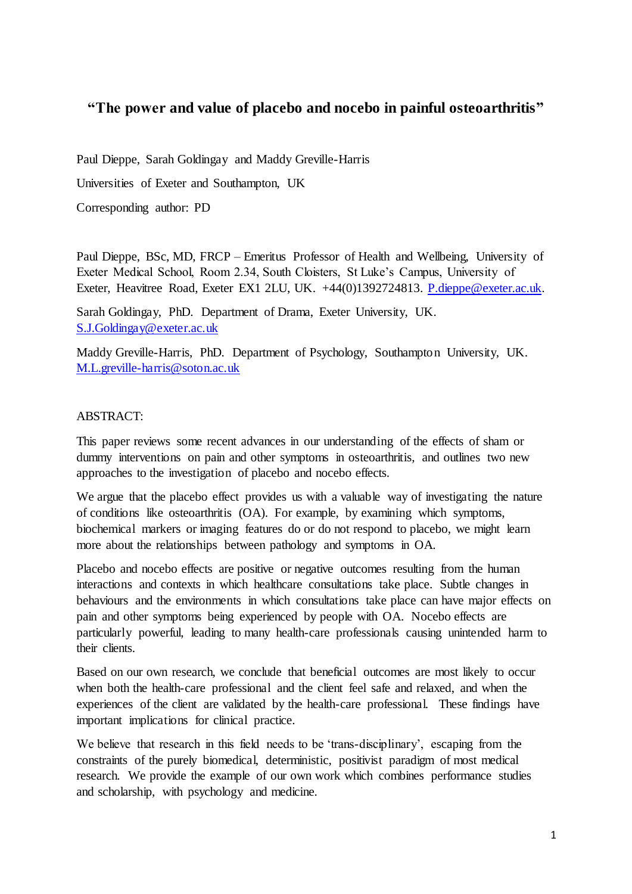# **"The power and value of placebo and nocebo in painful osteoarthritis"**

Paul Dieppe, Sarah Goldingay and Maddy Greville-Harris

Universities of Exeter and Southampton, UK

Corresponding author: PD

Paul Dieppe, BSc, MD, FRCP – Emeritus Professor of Health and Wellbeing, University of Exeter Medical School, Room 2.34, South Cloisters, St Luke's Campus, University of Exeter, Heavitree Road, Exeter EX1 2LU, UK. +44(0)1392724813. [P.dieppe@exeter.ac.uk.](mailto:P.dieppe@exeter.ac.uk)

Sarah Goldingay, PhD. Department of Drama, Exeter University, UK. [S.J.Goldingay@exeter.ac.uk](mailto:S.J.Goldingay@exeter.ac.uk)

Maddy Greville-Harris, PhD. Department of Psychology, Southampton University, UK. [M.L.greville-harris@soton.ac.uk](mailto:M.L.greville-harris@soton.ac.uk)

#### ABSTRACT:

This paper reviews some recent advances in our understanding of the effects of sham or dummy interventions on pain and other symptoms in osteoarthritis, and outlines two new approaches to the investigation of placebo and nocebo effects.

We argue that the placebo effect provides us with a valuable way of investigating the nature of conditions like osteoarthritis (OA). For example, by examining which symptoms, biochemical markers or imaging features do or do not respond to placebo, we might learn more about the relationships between pathology and symptoms in OA.

Placebo and nocebo effects are positive or negative outcomes resulting from the human interactions and contexts in which healthcare consultations take place. Subtle changes in behaviours and the environments in which consultations take place can have major effects on pain and other symptoms being experienced by people with OA. Nocebo effects are particularly powerful, leading to many health-care professionals causing unintended harm to their clients.

Based on our own research, we conclude that beneficial outcomes are most likely to occur when both the health-care professional and the client feel safe and relaxed, and when the experiences of the client are validated by the health-care professional. These findings have important implications for clinical practice.

We believe that research in this field needs to be 'trans-disciplinary', escaping from the constraints of the purely biomedical, deterministic, positivist paradigm of most medical research. We provide the example of our own work which combines performance studies and scholarship, with psychology and medicine.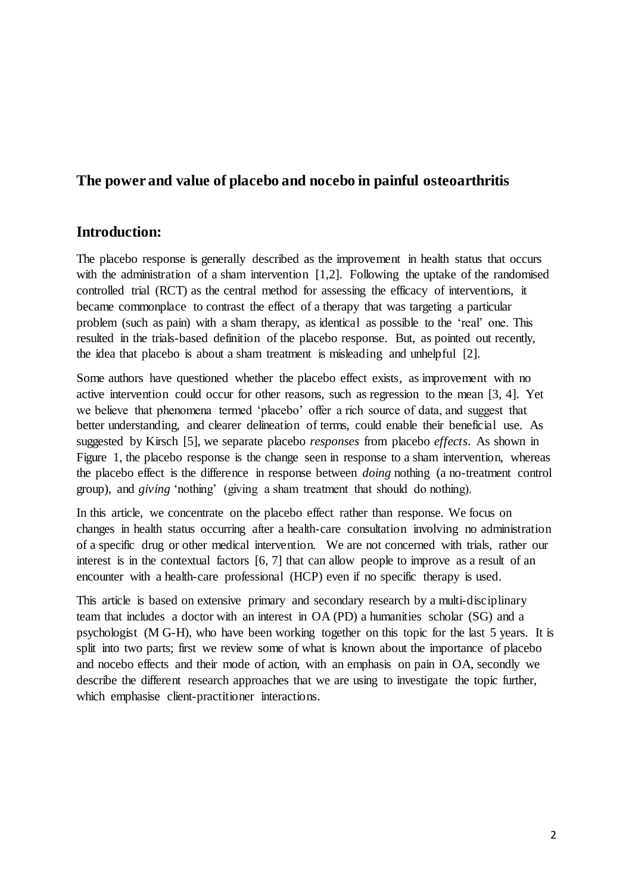# **The power and value of placebo and nocebo in painful osteoarthritis**

## **Introduction:**

The placebo response is generally described as the improvement in health status that occurs with the administration of a sham intervention [1,2]. Following the uptake of the randomised controlled trial (RCT) as the central method for assessing the efficacy of interventions, it became commonplace to contrast the effect of a therapy that was targeting a particular problem (such as pain) with a sham therapy, as identical as possible to the 'real' one. This resulted in the trials-based definition of the placebo response. But, as pointed out recently, the idea that placebo is about a sham treatment is misleading and unhelpful [2].

Some authors have questioned whether the placebo effect exists, as improvement with no active intervention could occur for other reasons, such as regression to the mean [3, 4]. Yet we believe that phenomena termed 'placebo' offer a rich source of data, and suggest that better understanding, and clearer delineation of terms, could enable their beneficial use. As suggested by Kirsch [5], we separate placebo *responses* from placebo *effects*. As shown in Figure 1, the placebo response is the change seen in response to a sham intervention, whereas the placebo effect is the difference in response between *doing* nothing (a no-treatment control group), and *giving* 'nothing' (giving a sham treatment that should do nothing).

In this article, we concentrate on the placebo effect rather than response. We focus on changes in health status occurring after a health-care consultation involving no administration of a specific drug or other medical intervention. We are not concerned with trials, rather our interest is in the contextual factors [6, 7] that can allow people to improve as a result of an encounter with a health-care professional (HCP) even if no specific therapy is used.

This article is based on extensive primary and secondary research by a multi-disciplinary team that includes a doctor with an interest in OA (PD) a humanities scholar (SG) and a psychologist (M G-H), who have been working together on this topic for the last 5 years. It is split into two parts; first we review some of what is known about the importance of placebo and nocebo effects and their mode of action, with an emphasis on pain in OA, secondly we describe the different research approaches that we are using to investigate the topic further, which emphasise client-practitioner interactions.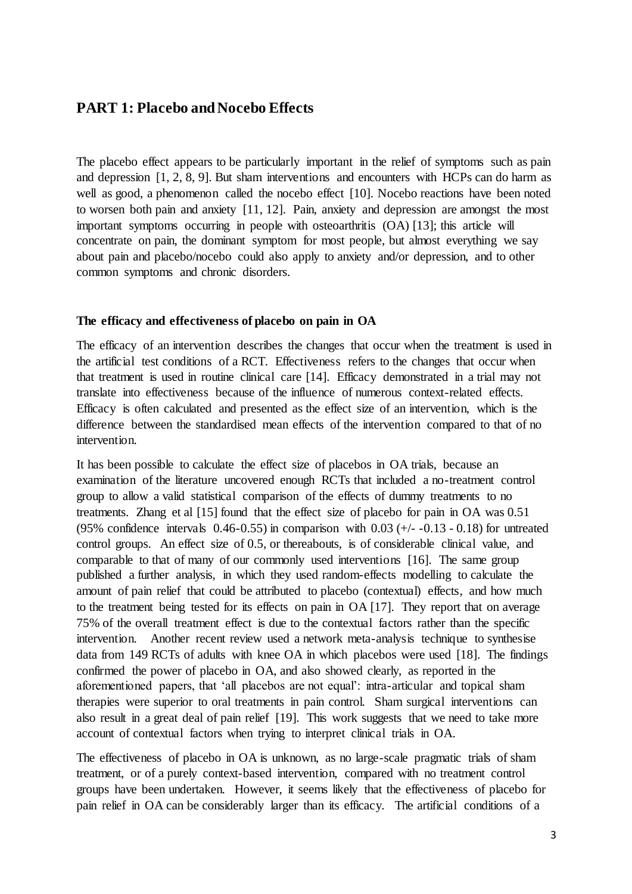## **PART 1: Placebo and Nocebo Effects**

The placebo effect appears to be particularly important in the relief of symptoms such as pain and depression [1, 2, 8, 9]. But sham interventions and encounters with HCPs can do harm as well as good, a phenomenon called the nocebo effect [10]. Nocebo reactions have been noted to worsen both pain and anxiety [11, 12]. Pain, anxiety and depression are amongst the most important symptoms occurring in people with osteoarthritis (OA) [13]; this article will concentrate on pain, the dominant symptom for most people, but almost everything we say about pain and placebo/nocebo could also apply to anxiety and/or depression, and to other common symptoms and chronic disorders.

#### **The efficacy and effectiveness of placebo on pain in OA**

The efficacy of an intervention describes the changes that occur when the treatment is used in the artificial test conditions of a RCT. Effectiveness refers to the changes that occur when that treatment is used in routine clinical care [14]. Efficacy demonstrated in a trial may not translate into effectiveness because of the influence of numerous context-related effects. Efficacy is often calculated and presented as the effect size of an intervention, which is the difference between the standardised mean effects of the intervention compared to that of no intervention.

It has been possible to calculate the effect size of placebos in OA trials, because an examination of the literature uncovered enough RCTs that included a no-treatment control group to allow a valid statistical comparison of the effects of dummy treatments to no treatments. Zhang et al [15] found that the effect size of placebo for pain in OA was 0.51 (95% confidence intervals  $0.46-0.55$ ) in comparison with  $0.03$  ( $+/- -0.13 - 0.18$ ) for untreated control groups. An effect size of 0.5, or thereabouts, is of considerable clinical value, and comparable to that of many of our commonly used interventions [16]. The same group published a further analysis, in which they used random-effects modelling to calculate the amount of pain relief that could be attributed to placebo (contextual) effects, and how much to the treatment being tested for its effects on pain in OA [17]. They report that on average 75% of the overall treatment effect is due to the contextual factors rather than the specific intervention. Another recent review used a network meta-analysis technique to synthesise data from 149 RCTs of adults with knee OA in which placebos were used [18]. The findings confirmed the power of placebo in OA, and also showed clearly, as reported in the aforementioned papers, that 'all placebos are not equal': intra-articular and topical sham therapies were superior to oral treatments in pain control. Sham surgical interventions can also result in a great deal of pain relief [19]. This work suggests that we need to take more account of contextual factors when trying to interpret clinical trials in OA.

The effectiveness of placebo in OA is unknown, as no large-scale pragmatic trials of sham treatment, or of a purely context-based intervention, compared with no treatment control groups have been undertaken. However, it seems likely that the effectiveness of placebo for pain relief in OA can be considerably larger than its efficacy. The artificial conditions of a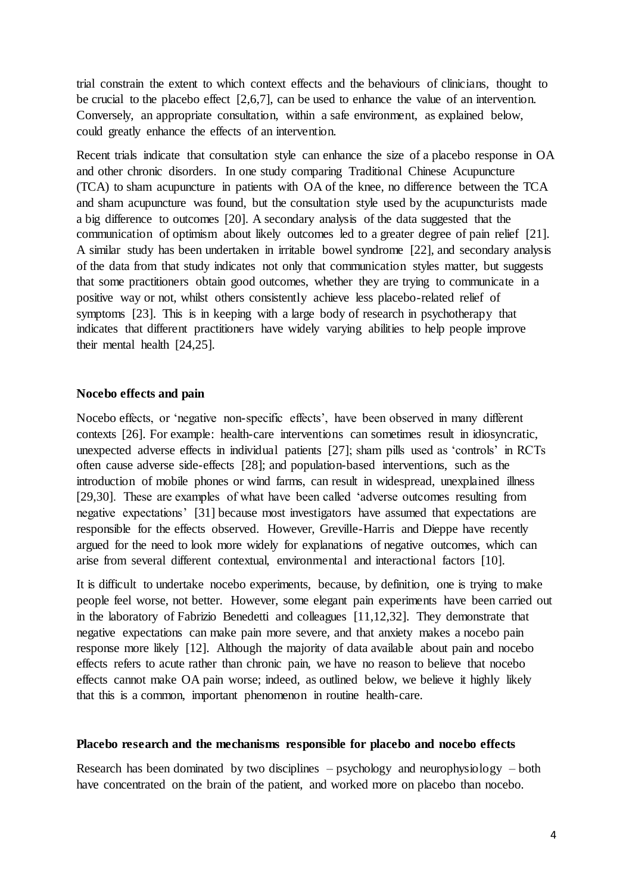trial constrain the extent to which context effects and the behaviours of clinicians, thought to be crucial to the placebo effect [2,6,7], can be used to enhance the value of an intervention. Conversely, an appropriate consultation, within a safe environment, as explained below, could greatly enhance the effects of an intervention.

Recent trials indicate that consultation style can enhance the size of a placebo response in OA and other chronic disorders. In one study comparing Traditional Chinese Acupuncture (TCA) to sham acupuncture in patients with OA of the knee, no difference between the TCA and sham acupuncture was found, but the consultation style used by the acupuncturists made a big difference to outcomes [20]. A secondary analysis of the data suggested that the communication of optimism about likely outcomes led to a greater degree of pain relief [21]. A similar study has been undertaken in irritable bowel syndrome [22], and secondary analysis of the data from that study indicates not only that communication styles matter, but suggests that some practitioners obtain good outcomes, whether they are trying to communicate in a positive way or not, whilst others consistently achieve less placebo-related relief of symptoms [23]. This is in keeping with a large body of research in psychotherapy that indicates that different practitioners have widely varying abilities to help people improve their mental health [24,25].

#### **Nocebo effects and pain**

Nocebo effects, or 'negative non-specific effects', have been observed in many different contexts [26]. For example: health-care interventions can sometimes result in idiosyncratic, unexpected adverse effects in individual patients [27]; sham pills used as 'controls' in RCTs often cause adverse side-effects [28]; and population-based interventions, such as the introduction of mobile phones or wind farms, can result in widespread, unexplained illness [29,30]. These are examples of what have been called 'adverse outcomes resulting from negative expectations' [31] because most investigators have assumed that expectations are responsible for the effects observed. However, Greville-Harris and Dieppe have recently argued for the need to look more widely for explanations of negative outcomes, which can arise from several different contextual, environmental and interactional factors [10].

It is difficult to undertake nocebo experiments, because, by definition, one is trying to make people feel worse, not better. However, some elegant pain experiments have been carried out in the laboratory of Fabrizio Benedetti and colleagues [11,12,32]. They demonstrate that negative expectations can make pain more severe, and that anxiety makes a nocebo pain response more likely [12]. Although the majority of data available about pain and nocebo effects refers to acute rather than chronic pain, we have no reason to believe that nocebo effects cannot make OA pain worse; indeed, as outlined below, we believe it highly likely that this is a common, important phenomenon in routine health-care.

#### **Placebo research and the mechanisms responsible for placebo and nocebo effects**

Research has been dominated by two disciplines – psychology and neurophysiology – both have concentrated on the brain of the patient, and worked more on placebo than nocebo.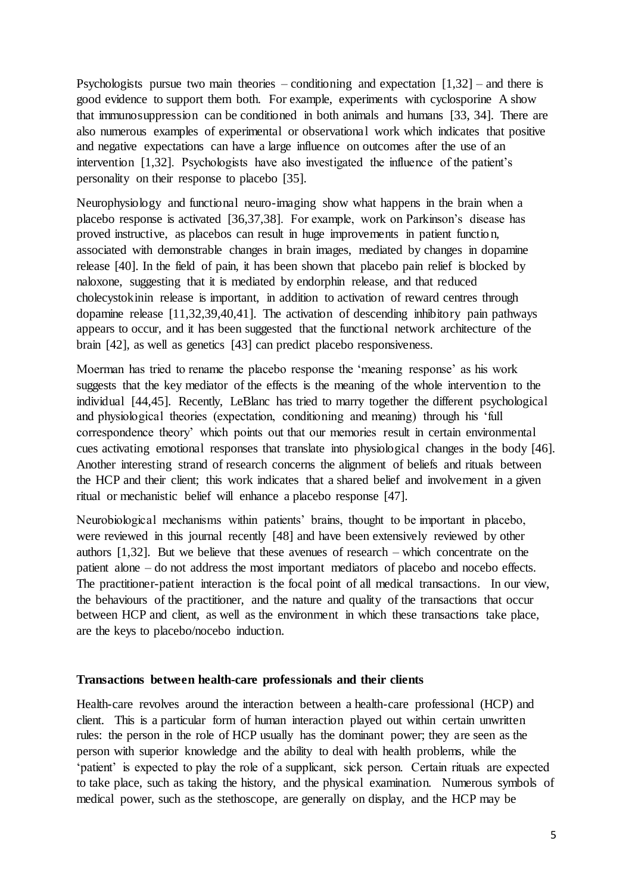Psychologists pursue two main theories – conditioning and expectation  $[1,32]$  – and there is good evidence to support them both. For example, experiments with cyclosporine A show that immunosuppression can be conditioned in both animals and humans [33, 34]. There are also numerous examples of experimental or observational work which indicates that positive and negative expectations can have a large influence on outcomes after the use of an intervention [1,32]. Psychologists have also investigated the influence of the patient's personality on their response to placebo [35].

Neurophysiology and functional neuro-imaging show what happens in the brain when a placebo response is activated [36,37,38]. For example, work on Parkinson's disease has proved instructive, as placebos can result in huge improvements in patient function, associated with demonstrable changes in brain images, mediated by changes in dopamine release [40]. In the field of pain, it has been shown that placebo pain relief is blocked by naloxone, suggesting that it is mediated by endorphin release, and that reduced cholecystokinin release is important, in addition to activation of reward centres through dopamine release [11,32,39,40,41]. The activation of descending inhibitory pain pathways appears to occur, and it has been suggested that the functional network architecture of the brain [42], as well as genetics [43] can predict placebo responsiveness.

Moerman has tried to rename the placebo response the 'meaning response' as his work suggests that the key mediator of the effects is the meaning of the whole intervention to the individual [44,45]. Recently, LeBlanc has tried to marry together the different psychological and physiological theories (expectation, conditioning and meaning) through his 'full correspondence theory' which points out that our memories result in certain environmental cues activating emotional responses that translate into physiological changes in the body [46]. Another interesting strand of research concerns the alignment of beliefs and rituals between the HCP and their client; this work indicates that a shared belief and involvement in a given ritual or mechanistic belief will enhance a placebo response [47].

Neurobiological mechanisms within patients' brains, thought to be important in placebo, were reviewed in this journal recently [48] and have been extensively reviewed by other authors [1,32]. But we believe that these avenues of research – which concentrate on the patient alone – do not address the most important mediators of placebo and nocebo effects. The practitioner-patient interaction is the focal point of all medical transactions. In our view, the behaviours of the practitioner, and the nature and quality of the transactions that occur between HCP and client, as well as the environment in which these transactions take place, are the keys to placebo/nocebo induction.

#### **Transactions between health-care professionals and their clients**

Health-care revolves around the interaction between a health-care professional (HCP) and client. This is a particular form of human interaction played out within certain unwritten rules: the person in the role of HCP usually has the dominant power; they are seen as the person with superior knowledge and the ability to deal with health problems, while the 'patient' is expected to play the role of a supplicant, sick person. Certain rituals are expected to take place, such as taking the history, and the physical examination. Numerous symbols of medical power, such as the stethoscope, are generally on display, and the HCP may be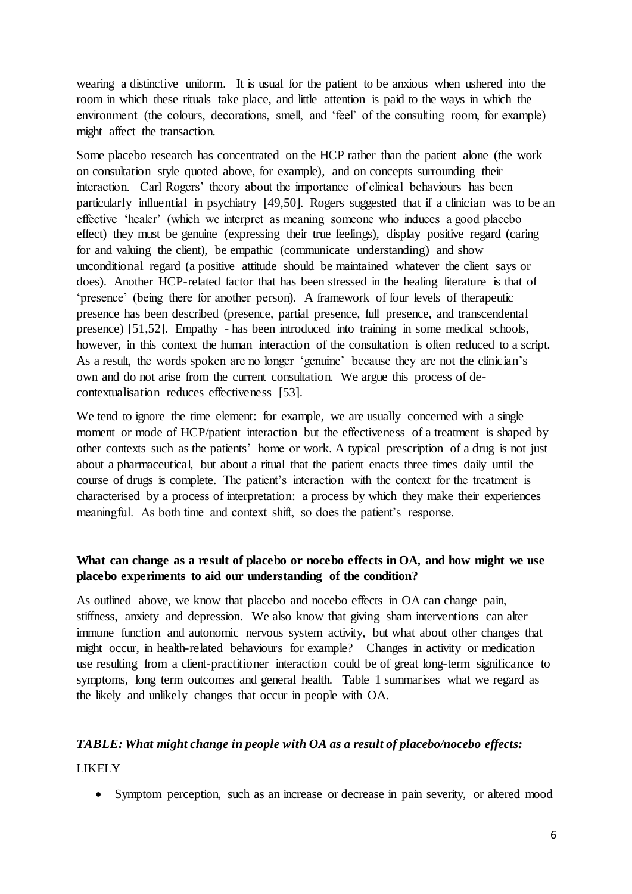wearing a distinctive uniform. It is usual for the patient to be anxious when ushered into the room in which these rituals take place, and little attention is paid to the ways in which the environment (the colours, decorations, smell, and 'feel' of the consulting room, for example) might affect the transaction.

Some placebo research has concentrated on the HCP rather than the patient alone (the work on consultation style quoted above, for example), and on concepts surrounding their interaction. Carl Rogers' theory about the importance of clinical behaviours has been particularly influential in psychiatry [49,50]. Rogers suggested that if a clinician was to be an effective 'healer' (which we interpret as meaning someone who induces a good placebo effect) they must be genuine (expressing their true feelings), display positive regard (caring for and valuing the client), be empathic (communicate understanding) and show unconditional regard (a positive attitude should be maintained whatever the client says or does). Another HCP-related factor that has been stressed in the healing literature is that of 'presence' (being there for another person). A framework of four levels of therapeutic presence has been described (presence, partial presence, full presence, and transcendental presence) [51,52]. Empathy - has been introduced into training in some medical schools, however, in this context the human interaction of the consultation is often reduced to a script. As a result, the words spoken are no longer 'genuine' because they are not the clinician's own and do not arise from the current consultation. We argue this process of decontextualisation reduces effectiveness [53].

We tend to ignore the time element: for example, we are usually concerned with a single moment or mode of HCP/patient interaction but the effectiveness of a treatment is shaped by other contexts such as the patients' home or work. A typical prescription of a drug is not just about a pharmaceutical, but about a ritual that the patient enacts three times daily until the course of drugs is complete. The patient's interaction with the context for the treatment is characterised by a process of interpretation: a process by which they make their experiences meaningful. As both time and context shift, so does the patient's response.

### **What can change as a result of placebo or nocebo effects in OA, and how might we use placebo experiments to aid our understanding of the condition?**

As outlined above, we know that placebo and nocebo effects in OA can change pain, stiffness, anxiety and depression. We also know that giving sham interventions can alter immune function and autonomic nervous system activity, but what about other changes that might occur, in health-related behaviours for example? Changes in activity or medication use resulting from a client-practitioner interaction could be of great long-term significance to symptoms, long term outcomes and general health. Table 1 summarises what we regard as the likely and unlikely changes that occur in people with OA.

### *TABLE: What might change in people with OA as a result of placebo/nocebo effects:*

LIKELY

• Symptom perception, such as an increase or decrease in pain severity, or altered mood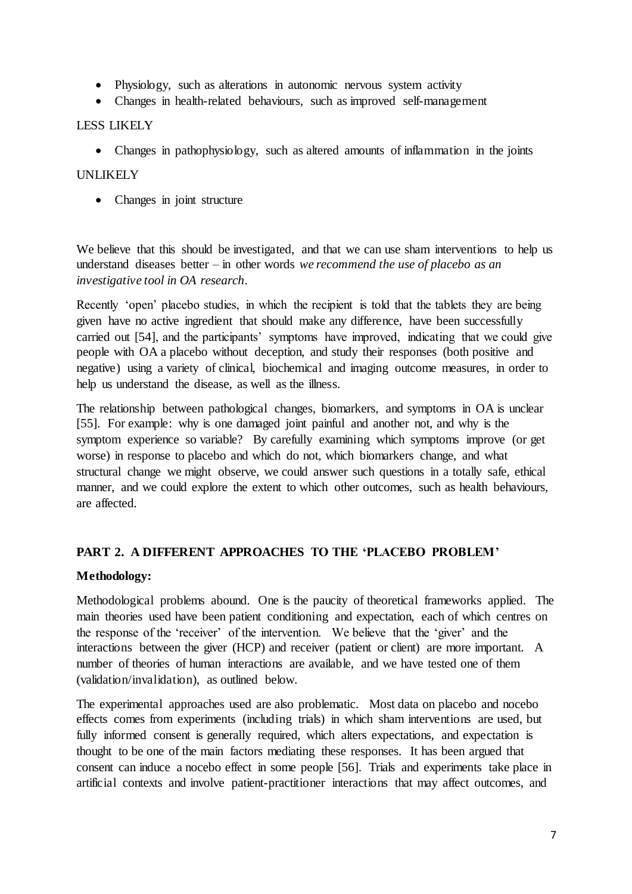- Physiology, such as alterations in autonomic nervous system activity
- Changes in health-related behaviours, such as improved self-management

#### LESS LIKELY

• Changes in pathophysiology, such as altered amounts of inflammation in the joints

#### UNLIKELY

• Changes in joint structure

We believe that this should be investigated, and that we can use sham interventions to help us understand diseases better – in other words *we recommend the use of placebo as an investigative tool in OA research*.

Recently 'open' placebo studies, in which the recipient is told that the tablets they are being given have no active ingredient that should make any difference, have been successfully carried out [54], and the participants' symptoms have improved, indicating that we could give people with OA a placebo without deception, and study their responses (both positive and negative) using a variety of clinical, biochemical and imaging outcome measures, in order to help us understand the disease, as well as the illness.

The relationship between pathological changes, biomarkers, and symptoms in OA is unclear [55]. For example: why is one damaged joint painful and another not, and why is the symptom experience so variable? By carefully examining which symptoms improve (or get worse) in response to placebo and which do not, which biomarkers change, and what structural change we might observe, we could answer such questions in a totally safe, ethical manner, and we could explore the extent to which other outcomes, such as health behaviours, are affected.

### **PART 2. A DIFFERENT APPROACHES TO THE 'PLACEBO PROBLEM'**

### **Methodology:**

Methodological problems abound. One is the paucity of theoretical frameworks applied. The main theories used have been patient conditioning and expectation, each of which centres on the response of the 'receiver' of the intervention. We believe that the 'giver' and the interactions between the giver (HCP) and receiver (patient or client) are more important. A number of theories of human interactions are available, and we have tested one of them (validation/invalidation), as outlined below.

The experimental approaches used are also problematic. Most data on placebo and nocebo effects comes from experiments (including trials) in which sham interventions are used, but fully informed consent is generally required, which alters expectations, and expectation is thought to be one of the main factors mediating these responses. It has been argued that consent can induce a nocebo effect in some people [56]. Trials and experiments take place in artificial contexts and involve patient-practitioner interactions that may affect outcomes, and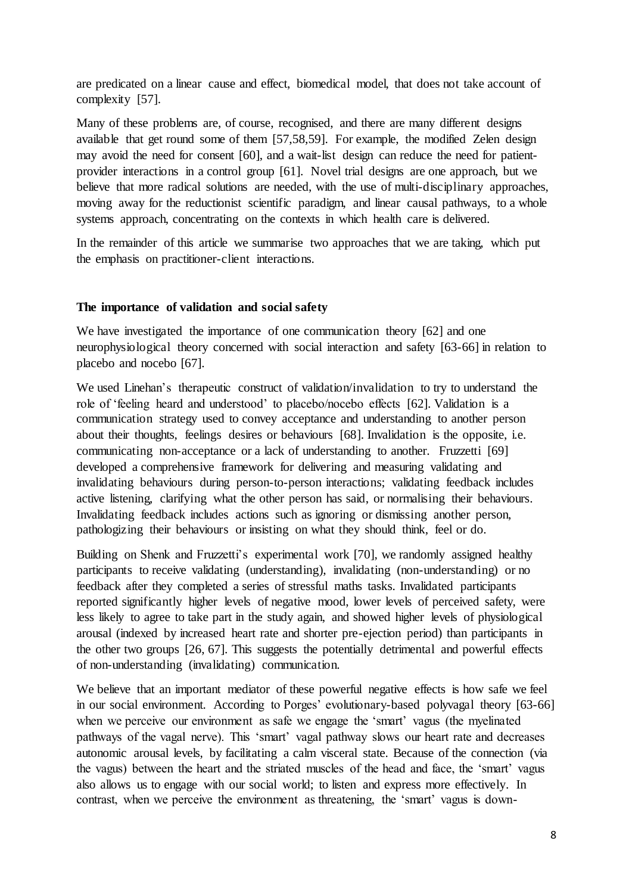are predicated on a linear cause and effect, biomedical model, that does not take account of complexity [57].

Many of these problems are, of course, recognised, and there are many different designs available that get round some of them [57,58,59]. For example, the modified Zelen design may avoid the need for consent [60], and a wait-list design can reduce the need for patientprovider interactions in a control group [61]. Novel trial designs are one approach, but we believe that more radical solutions are needed, with the use of multi-disciplinary approaches, moving away for the reductionist scientific paradigm, and linear causal pathways, to a whole systems approach, concentrating on the contexts in which health care is delivered.

In the remainder of this article we summarise two approaches that we are taking, which put the emphasis on practitioner-client interactions.

#### **The importance of validation and social safety**

We have investigated the importance of one communication theory [62] and one neurophysiological theory concerned with social interaction and safety [63-66] in relation to placebo and nocebo [67].

We used Linehan's therapeutic construct of validation/invalidation to try to understand the role of 'feeling heard and understood' to placebo/nocebo effects [62]. Validation is a communication strategy used to convey acceptance and understanding to another person about their thoughts, feelings desires or behaviours [68]. Invalidation is the opposite, i.e. communicating non-acceptance or a lack of understanding to another. Fruzzetti [69] developed a comprehensive framework for delivering and measuring validating and invalidating behaviours during person-to-person interactions; validating feedback includes active listening, clarifying what the other person has said, or normalising their behaviours. Invalidating feedback includes actions such as ignoring or dismissing another person, pathologizing their behaviours or insisting on what they should think, feel or do.

Building on Shenk and Fruzzetti's experimental work [70], we randomly assigned healthy participants to receive validating (understanding), invalidating (non-understanding) or no feedback after they completed a series of stressful maths tasks. Invalidated participants reported significantly higher levels of negative mood, lower levels of perceived safety, were less likely to agree to take part in the study again, and showed higher levels of physiological arousal (indexed by increased heart rate and shorter pre-ejection period) than participants in the other two groups [26, 67]. This suggests the potentially detrimental and powerful effects of non-understanding (invalidating) communication.

We believe that an important mediator of these powerful negative effects is how safe we feel in our social environment. According to Porges' evolutionary-based polyvagal theory [63-66] when we perceive our environment as safe we engage the 'smart' vagus (the myelinated pathways of the vagal nerve). This 'smart' vagal pathway slows our heart rate and decreases autonomic arousal levels, by facilitating a calm visceral state. Because of the connection (via the vagus) between the heart and the striated muscles of the head and face, the 'smart' vagus also allows us to engage with our social world; to listen and express more effectively. In contrast, when we perceive the environment as threatening, the 'smart' vagus is down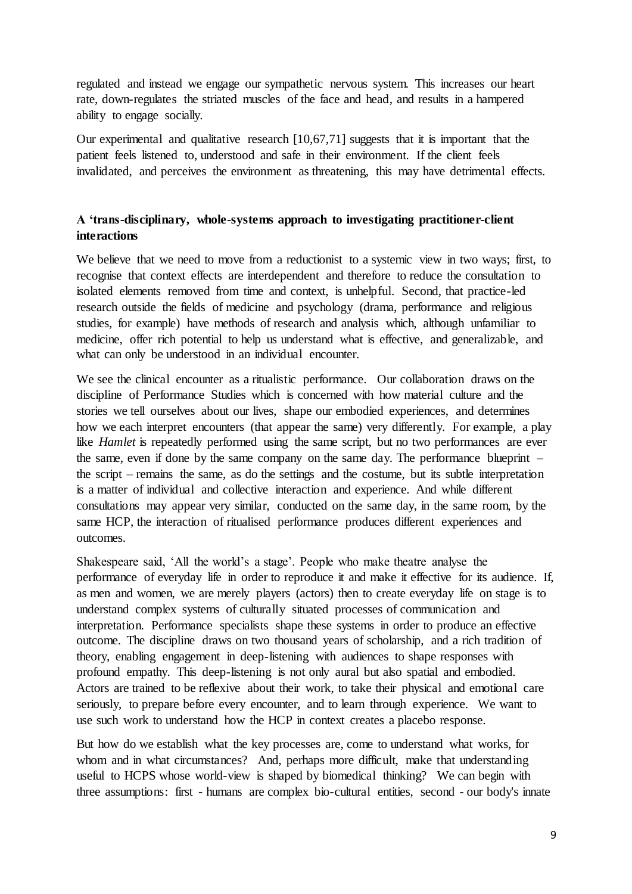regulated and instead we engage our sympathetic nervous system. This increases our heart rate, down-regulates the striated muscles of the face and head, and results in a hampered ability to engage socially.

Our experimental and qualitative research [10,67,71] suggests that it is important that the patient feels listened to, understood and safe in their environment. If the client feels invalidated, and perceives the environment as threatening, this may have detrimental effects.

### **A 'trans-disciplinary, whole-systems approach to investigating practitioner-client interactions**

We believe that we need to move from a reductionist to a systemic view in two ways; first, to recognise that context effects are interdependent and therefore to reduce the consultation to isolated elements removed from time and context, is unhelpful. Second, that practice-led research outside the fields of medicine and psychology (drama, performance and religious studies, for example) have methods of research and analysis which, although unfamiliar to medicine, offer rich potential to help us understand what is effective, and generalizable, and what can only be understood in an individual encounter.

We see the clinical encounter as a ritualistic performance. Our collaboration draws on the discipline of Performance Studies which is concerned with how material culture and the stories we tell ourselves about our lives, shape our embodied experiences, and determines how we each interpret encounters (that appear the same) very differently. For example, a play like *Hamlet* is repeatedly performed using the same script, but no two performances are ever the same, even if done by the same company on the same day. The performance blueprint – the script – remains the same, as do the settings and the costume, but its subtle interpretation is a matter of individual and collective interaction and experience. And while different consultations may appear very similar, conducted on the same day, in the same room, by the same HCP, the interaction of ritualised performance produces different experiences and outcomes.

Shakespeare said, 'All the world's a stage'. People who make theatre analyse the performance of everyday life in order to reproduce it and make it effective for its audience. If, as men and women, we are merely players (actors) then to create everyday life on stage is to understand complex systems of culturally situated processes of communication and interpretation. Performance specialists shape these systems in order to produce an effective outcome. The discipline draws on two thousand years of scholarship, and a rich tradition of theory, enabling engagement in deep-listening with audiences to shape responses with profound empathy. This deep-listening is not only aural but also spatial and embodied. Actors are trained to be reflexive about their work, to take their physical and emotional care seriously, to prepare before every encounter, and to learn through experience. We want to use such work to understand how the HCP in context creates a placebo response.

But how do we establish what the key processes are, come to understand what works, for whom and in what circumstances? And, perhaps more difficult, make that understanding useful to HCPS whose world-view is shaped by biomedical thinking? We can begin with three assumptions: first - humans are complex bio-cultural entities, second - our body's innate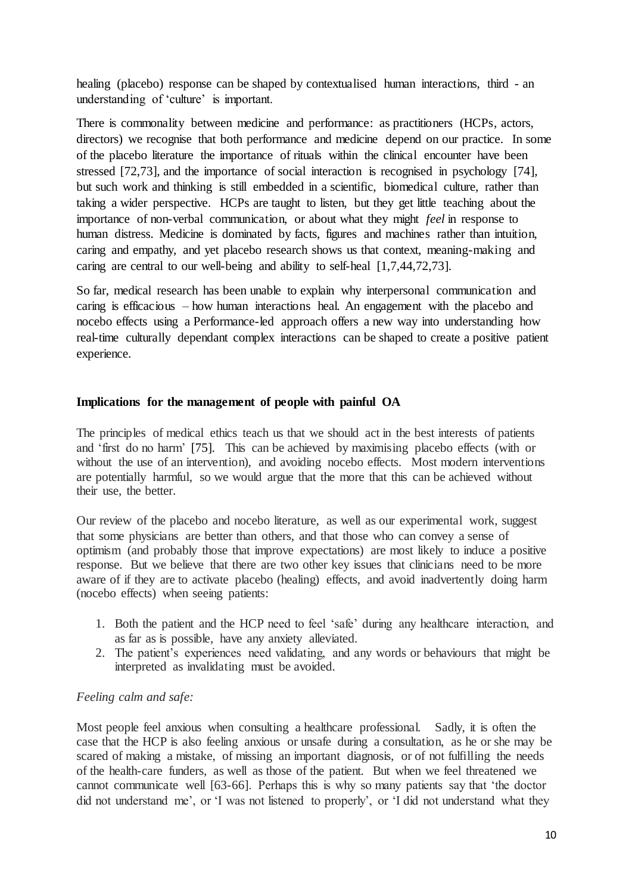healing (placebo) response can be shaped by contextualised human interactions, third - an understanding of 'culture' is important.

There is commonality between medicine and performance: as practitioners (HCPs, actors, directors) we recognise that both performance and medicine depend on our practice. In some of the placebo literature the importance of rituals within the clinical encounter have been stressed [72,73], and the importance of social interaction is recognised in psychology [74], but such work and thinking is still embedded in a scientific, biomedical culture, rather than taking a wider perspective. HCPs are taught to listen, but they get little teaching about the importance of non-verbal communication, or about what they might *feel* in response to human distress. Medicine is dominated by facts, figures and machines rather than intuition, caring and empathy, and yet placebo research shows us that context, meaning-making and caring are central to our well-being and ability to self-heal [1,7,44,72,73].

So far, medical research has been unable to explain why interpersonal communication and caring is efficacious – how human interactions heal. An engagement with the placebo and nocebo effects using a Performance-led approach offers a new way into understanding how real-time culturally dependant complex interactions can be shaped to create a positive patient experience.

#### **Implications for the management of people with painful OA**

The principles of medical ethics teach us that we should act in the best interests of patients and 'first do no harm' [75]. This can be achieved by maximising placebo effects (with or without the use of an intervention), and avoiding nocebo effects. Most modern interventions are potentially harmful, so we would argue that the more that this can be achieved without their use, the better.

Our review of the placebo and nocebo literature, as well as our experimental work, suggest that some physicians are better than others, and that those who can convey a sense of optimism (and probably those that improve expectations) are most likely to induce a positive response. But we believe that there are two other key issues that clinicians need to be more aware of if they are to activate placebo (healing) effects, and avoid inadvertently doing harm (nocebo effects) when seeing patients:

- 1. Both the patient and the HCP need to feel 'safe' during any healthcare interaction, and as far as is possible, have any anxiety alleviated.
- 2. The patient's experiences need validating, and any words or behaviours that might be interpreted as invalidating must be avoided.

#### *Feeling calm and safe:*

Most people feel anxious when consulting a healthcare professional. Sadly, it is often the case that the HCP is also feeling anxious or unsafe during a consultation, as he or she may be scared of making a mistake, of missing an important diagnosis, or of not fulfilling the needs of the health-care funders, as well as those of the patient. But when we feel threatened we cannot communicate well [63-66]. Perhaps this is why so many patients say that 'the doctor did not understand me', or 'I was not listened to properly', or 'I did not understand what they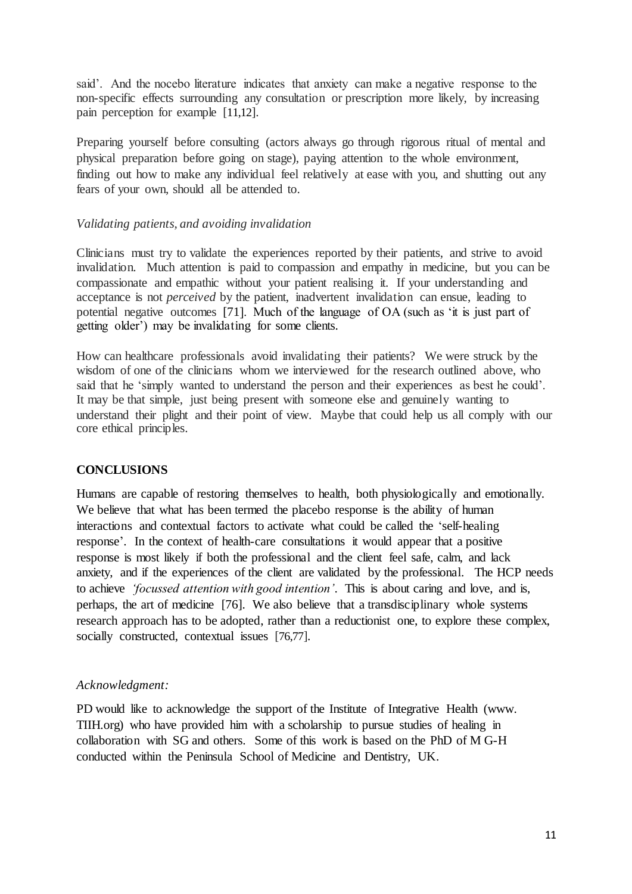said'. And the nocebo literature indicates that anxiety can make a negative response to the non-specific effects surrounding any consultation or prescription more likely, by increasing pain perception for example [11,12].

Preparing yourself before consulting (actors always go through rigorous ritual of mental and physical preparation before going on stage), paying attention to the whole environment, finding out how to make any individual feel relatively at ease with you, and shutting out any fears of your own, should all be attended to.

#### *Validating patients, and avoiding invalidation*

Clinicians must try to validate the experiences reported by their patients, and strive to avoid invalidation. Much attention is paid to compassion and empathy in medicine, but you can be compassionate and empathic without your patient realising it. If your understanding and acceptance is not *perceived* by the patient, inadvertent invalidation can ensue, leading to potential negative outcomes [71]. Much of the language of OA (such as 'it is just part of getting older') may be invalidating for some clients.

How can healthcare professionals avoid invalidating their patients? We were struck by the wisdom of one of the clinicians whom we interviewed for the research outlined above, who said that he 'simply wanted to understand the person and their experiences as best he could'. It may be that simple, just being present with someone else and genuinely wanting to understand their plight and their point of view. Maybe that could help us all comply with our core ethical principles.

### **CONCLUSIONS**

Humans are capable of restoring themselves to health, both physiologically and emotionally. We believe that what has been termed the placebo response is the ability of human interactions and contextual factors to activate what could be called the 'self-healing response'. In the context of health-care consultations it would appear that a positive response is most likely if both the professional and the client feel safe, calm, and lack anxiety, and if the experiences of the client are validated by the professional. The HCP needs to achieve *'focussed attention with good intention'*. This is about caring and love, and is, perhaps, the art of medicine [76]. We also believe that a transdisciplinary whole systems research approach has to be adopted, rather than a reductionist one, to explore these complex, socially constructed, contextual issues [76,77].

#### *Acknowledgment:*

PD would like to acknowledge the support of the Institute of Integrative Health (www. TIIH.org) who have provided him with a scholarship to pursue studies of healing in collaboration with SG and others. Some of this work is based on the PhD of M G-H conducted within the Peninsula School of Medicine and Dentistry, UK.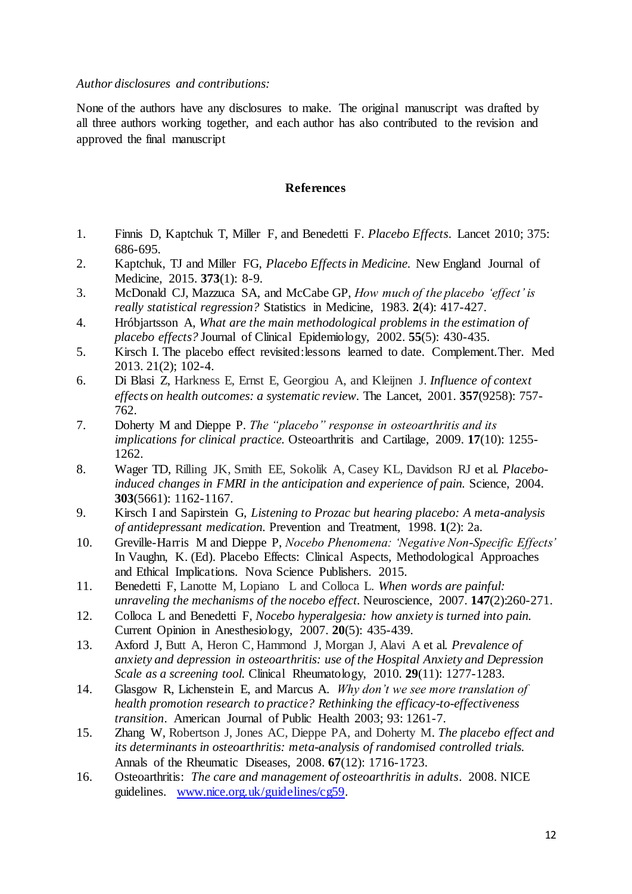*Author disclosures and contributions:*

None of the authors have any disclosures to make. The original manuscript was drafted by all three authors working together, and each author has also contributed to the revision and approved the final manuscript

#### **References**

- 1. Finnis D, Kaptchuk T, Miller F, and Benedetti F. *Placebo Effects*. Lancet 2010; 375: 686-695.
- 2. Kaptchuk, TJ and Miller FG, *Placebo Effects in Medicine.* New England Journal of Medicine, 2015. **373**(1): 8-9.
- 3. McDonald CJ, Mazzuca SA, and McCabe GP, *How much of the placebo 'effect' is really statistical regression?* Statistics in Medicine, 1983. **2**(4): 417-427.
- 4. Hróbjartsson A, *What are the main methodological problems in the estimation of placebo effects?* Journal of Clinical Epidemiology, 2002. **55**(5): 430-435.
- 5. Kirsch I. The placebo effect revisited:lessons learned to date. Complement.Ther. Med 2013. 21(2); 102-4.
- 6. Di Blasi Z, Harkness E, Ernst E, Georgiou A, and Kleijnen J. *Influence of context effects on health outcomes: a systematic review.* The Lancet, 2001. **357**(9258): 757- 762.
- 7. Doherty M and Dieppe P. *The "placebo" response in osteoarthritis and its implications for clinical practice.* Osteoarthritis and Cartilage, 2009. **17**(10): 1255- 1262.
- 8. Wager TD, Rilling JK, Smith EE, Sokolik A, Casey KL, Davidson RJ et al. *Placeboinduced changes in FMRI in the anticipation and experience of pain.* Science, 2004. **303**(5661): 1162-1167.
- 9. Kirsch I and Sapirstein G, *Listening to Prozac but hearing placebo: A meta-analysis of antidepressant medication.* Prevention and Treatment, 1998. **1**(2): 2a.
- 10. Greville-Harris M and Dieppe P, *Nocebo Phenomena: 'Negative Non-Specific Effects'*  In Vaughn, K. (Ed). Placebo Effects: Clinical Aspects, Methodological Approaches and Ethical Implications. Nova Science Publishers. 2015.
- 11. Benedetti F, Lanotte M, Lopiano L and Colloca L. *When words are painful: unraveling the mechanisms of the nocebo effect.* Neuroscience, 2007. **147**(2):260-271.
- 12. Colloca L and Benedetti F, *Nocebo hyperalgesia: how anxiety is turned into pain.* Current Opinion in Anesthesiology, 2007. **20**(5): 435-439.
- 13. Axford J, Butt A, Heron C, Hammond J, Morgan J, Alavi A et al. *Prevalence of anxiety and depression in osteoarthritis: use of the Hospital Anxiety and Depression Scale as a screening tool.* Clinical Rheumatology, 2010. **29**(11): 1277-1283.
- 14. Glasgow R, Lichenstein E, and Marcus A. *Why don't we see more translation of health promotion research to practice? Rethinking the efficacy-to-effectiveness transition*. American Journal of Public Health 2003; 93: 1261-7.
- 15. Zhang W, Robertson J, Jones AC, Dieppe PA, and Doherty M. *The placebo effect and its determinants in osteoarthritis: meta-analysis of randomised controlled trials.* Annals of the Rheumatic Diseases, 2008. **67**(12): 1716-1723.
- 16. Osteoarthritis: *The care and management of osteoarthritis in adults*. 2008. NICE guidelines. [www.nice.org.uk/guidelines/cg59.](http://www.nice.org.uk/guidelines/cg59)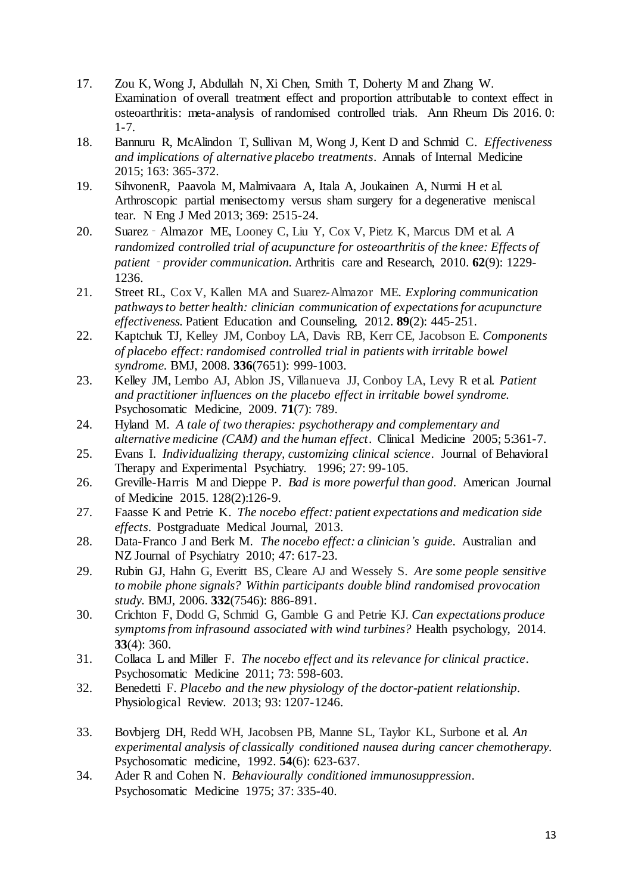- 17. Zou K, Wong J, Abdullah N, Xi Chen, Smith T, Doherty M and Zhang W. Examination of overall treatment effect and proportion attributable to context effect in osteoarthritis: meta-analysis of randomised controlled trials. Ann Rheum Dis 2016. 0: 1-7.
- 18. Bannuru R, McAlindon T, Sullivan M, Wong J, Kent D and Schmid C. *Effectiveness and implications of alternative placebo treatments*. Annals of Internal Medicine 2015; 163: 365-372.
- 19. SihvonenR, Paavola M, Malmivaara A, Itala A, Joukainen A, Nurmi H et al. Arthroscopic partial menisectomy versus sham surgery for a degenerative meniscal tear. N Eng J Med 2013; 369: 2515-24.
- 20. Suarez‐Almazor ME, Looney C, Liu Y, Cox V, Pietz K, Marcus DM et al. *A randomized controlled trial of acupuncture for osteoarthritis of the knee: Effects of patient*‐*provider communication.* Arthritis care and Research, 2010. **62**(9): 1229- 1236.
- 21. Street RL, Cox V, Kallen MA and Suarez-Almazor ME. *Exploring communication pathways to better health: clinician communication of expectations for acupuncture effectiveness.* Patient Education and Counseling, 2012. **89**(2): 445-251.
- 22. Kaptchuk TJ, Kelley JM, Conboy LA, Davis RB, Kerr CE, Jacobson E. *Components of placebo effect: randomised controlled trial in patients with irritable bowel syndrome.* BMJ, 2008. **336**(7651): 999-1003.
- 23. Kelley JM, Lembo AJ, Ablon JS, Villanueva JJ, Conboy LA, Levy R et al. *Patient and practitioner influences on the placebo effect in irritable bowel syndrome.* Psychosomatic Medicine, 2009. **71**(7): 789.
- 24. Hyland M. *A tale of two therapies: psychotherapy and complementary and alternative medicine (CAM) and the human effect*. Clinical Medicine 2005; 5:361-7.
- 25. Evans I. *Individualizing therapy, customizing clinical science*. Journal of Behavioral Therapy and Experimental Psychiatry. 1996; 27: 99-105.
- 26. Greville-Harris M and Dieppe P. *Bad is more powerful than good*. American Journal of Medicine 2015. 128(2):126-9.
- 27. Faasse K and Petrie K. *The nocebo effect: patient expectations and medication side effects*. Postgraduate Medical Journal, 2013.
- 28. Data-Franco J and Berk M. *The nocebo effect: a clinician's guide*. Australian and NZ Journal of Psychiatry 2010; 47: 617-23.
- 29. Rubin GJ, Hahn G, Everitt BS, Cleare AJ and Wessely S. *Are some people sensitive to mobile phone signals? Within participants double blind randomised provocation study.* BMJ, 2006. **332**(7546): 886-891.
- 30. Crichton F, Dodd G, Schmid G, Gamble G and Petrie KJ. *Can expectations produce symptoms from infrasound associated with wind turbines?* Health psychology, 2014. **33**(4): 360.
- 31. Collaca L and Miller F. *The nocebo effect and its relevance for clinical practice*. Psychosomatic Medicine 2011; 73: 598-603.
- 32. Benedetti F. *Placebo and the new physiology of the doctor-patient relationship*. Physiological Review. 2013; 93: 1207-1246.
- 33. Bovbjerg DH, Redd WH, Jacobsen PB, Manne SL, Taylor KL, Surbone et al. *An experimental analysis of classically conditioned nausea during cancer chemotherapy.* Psychosomatic medicine, 1992. **54**(6): 623-637.
- 34. Ader R and Cohen N. *Behaviourally conditioned immunosuppression*. Psychosomatic Medicine 1975; 37: 335-40.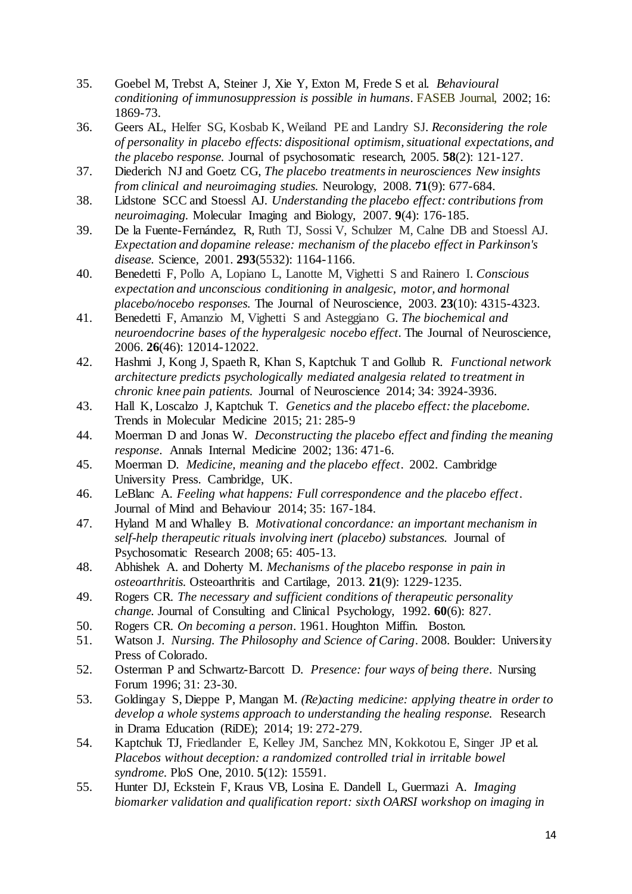- 35. Goebel M, Trebst A, Steiner J, Xie Y, Exton M, Frede S et al. *Behavioural conditioning of immunosuppression is possible in humans*. FASEB Journal, 2002; 16: 1869-73.
- 36. Geers AL, Helfer SG, Kosbab K, Weiland PE and Landry SJ. *Reconsidering the role of personality in placebo effects: dispositional optimism, situational expectations, and the placebo response.* Journal of psychosomatic research, 2005. **58**(2): 121-127.
- 37. Diederich NJ and Goetz CG, *The placebo treatments in neurosciences New insights from clinical and neuroimaging studies.* Neurology, 2008. **71**(9): 677-684.
- 38. Lidstone SCC and Stoessl AJ. *Understanding the placebo effect: contributions from neuroimaging.* Molecular Imaging and Biology, 2007. **9**(4): 176-185.
- 39. De la Fuente-Fernández, R, Ruth TJ, Sossi V, Schulzer M, Calne DB and Stoessl AJ. *Expectation and dopamine release: mechanism of the placebo effect in Parkinson's disease.* Science, 2001. **293**(5532): 1164-1166.
- 40. Benedetti F, Pollo A, Lopiano L, Lanotte M, Vighetti S and Rainero I. *Conscious expectation and unconscious conditioning in analgesic, motor, and hormonal placebo/nocebo responses.* The Journal of Neuroscience, 2003. **23**(10): 4315-4323.
- 41. Benedetti F, Amanzio M, Vighetti S and Asteggiano G. *The biochemical and neuroendocrine bases of the hyperalgesic nocebo effect.* The Journal of Neuroscience, 2006. **26**(46): 12014-12022.
- 42. Hashmi J, Kong J, Spaeth R, Khan S, Kaptchuk T and Gollub R. *Functional network architecture predicts psychologically mediated analgesia related to treatment in chronic knee pain patients.* Journal of Neuroscience 2014; 34: 3924-3936.
- 43. Hall K, Loscalzo J, Kaptchuk T. *Genetics and the placebo effect: the placebome.* Trends in Molecular Medicine 2015; 21: 285-9
- 44. Moerman D and Jonas W. *Deconstructing the placebo effect and finding the meaning response*. Annals Internal Medicine 2002; 136: 471-6.
- 45. Moerman D. *Medicine, meaning and the placebo effect*. 2002. Cambridge University Press. Cambridge, UK.
- 46. LeBlanc A. *Feeling what happens: Full correspondence and the placebo effect*. Journal of Mind and Behaviour 2014; 35: 167-184.
- 47. Hyland M and Whalley B. *Motivational concordance: an important mechanism in self-help therapeutic rituals involving inert (placebo) substances.* Journal of Psychosomatic Research 2008; 65: 405-13.
- 48. Abhishek A. and Doherty M. *Mechanisms of the placebo response in pain in osteoarthritis.* Osteoarthritis and Cartilage, 2013. **21**(9): 1229-1235.
- 49. Rogers CR. *The necessary and sufficient conditions of therapeutic personality change.* Journal of Consulting and Clinical Psychology, 1992. **60**(6): 827.
- 50. Rogers CR. *On becoming a person*. 1961. Houghton Miffin. Boston.
- 51. Watson J. *Nursing. The Philosophy and Science of Caring*. 2008. Boulder: University Press of Colorado.
- 52. Osterman P and Schwartz-Barcott D. *Presence: four ways of being there*. Nursing Forum 1996; 31: 23-30.
- 53. Goldingay S, Dieppe P, Mangan M. *(Re)acting medicine: applying theatre in order to develop a whole systems approach to understanding the healing response.* Research in Drama Education (RiDE); 2014; 19: 272-279.
- 54. Kaptchuk TJ, Friedlander E, Kelley JM, Sanchez MN, Kokkotou E, Singer JP et al. *Placebos without deception: a randomized controlled trial in irritable bowel syndrome.* PloS One, 2010. **5**(12): 15591.
- 55. Hunter DJ, Eckstein F, Kraus VB, Losina E. Dandell L, Guermazi A. *Imaging biomarker validation and qualification report: sixth OARSI workshop on imaging in*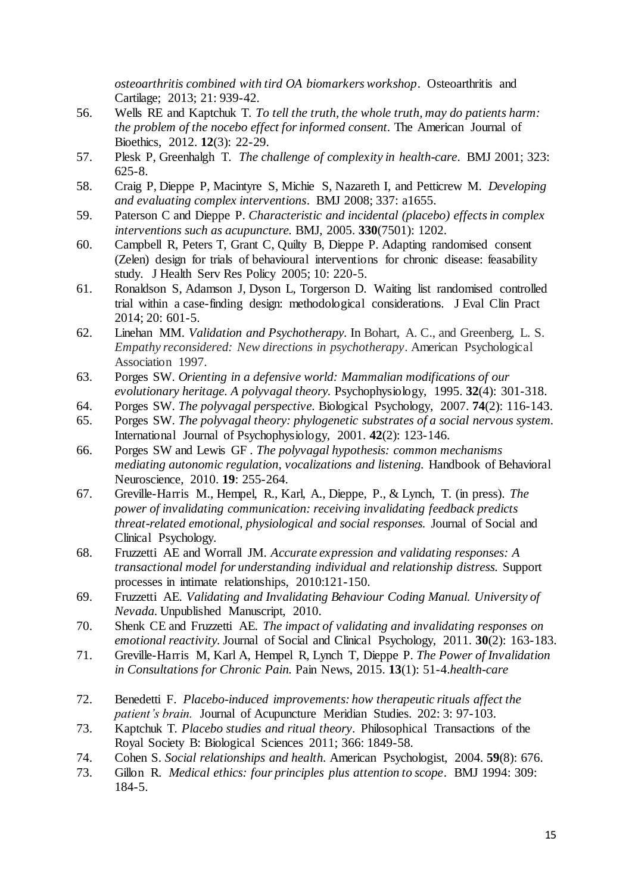*osteoarthritis combined with tird OA biomarkers workshop*. Osteoarthritis and Cartilage; 2013; 21: 939-42.

- 56. Wells RE and Kaptchuk T. *To tell the truth, the whole truth, may do patients harm: the problem of the nocebo effect for informed consent.* The American Journal of Bioethics, 2012. **12**(3): 22-29.
- 57. Plesk P, Greenhalgh T. *The challenge of complexity in health-care*. BMJ 2001; 323: 625-8.
- 58. Craig P, Dieppe P, Macintyre S, Michie S, Nazareth I, and Petticrew M. *Developing and evaluating complex interventions*. BMJ 2008; 337: a1655.
- 59. Paterson C and Dieppe P. *Characteristic and incidental (placebo) effects in complex interventions such as acupuncture.* BMJ, 2005. **330**(7501): 1202.
- 60. Campbell R, Peters T, Grant C, Quilty B, Dieppe P. Adapting randomised consent (Zelen) design for trials of behavioural interventions for chronic disease: feasability study. J Health Serv Res Policy 2005; 10: 220-5.
- 61. Ronaldson S, Adamson J, Dyson L, Torgerson D. Waiting list randomised controlled trial within a case-finding design: methodological considerations. J Eval Clin Pract 2014; 20: 601-5.
- 62. Linehan MM. *Validation and Psychotherapy.* In Bohart, A. C., and Greenberg, L. S. *Empathy reconsidered: New directions in psychotherapy*. American Psychological Association 1997.
- 63. Porges SW. *Orienting in a defensive world: Mammalian modifications of our evolutionary heritage. A polyvagal theory.* Psychophysiology, 1995. **32**(4): 301-318.
- 64. Porges SW. *The polyvagal perspective.* Biological Psychology, 2007. **74**(2): 116-143.
- 65. Porges SW. *The polyvagal theory: phylogenetic substrates of a social nervous system.* International Journal of Psychophysiology, 2001. **42**(2): 123-146.
- 66. Porges SW and Lewis GF *. The polyvagal hypothesis: common mechanisms mediating autonomic regulation, vocalizations and listening.* Handbook of Behavioral Neuroscience, 2010. **19**: 255-264.
- 67. Greville-Harris M., Hempel, R., Karl, A., Dieppe, P., & Lynch, T. (in press). *The power of invalidating communication: receiving invalidating feedback predicts threat-related emotional, physiological and social responses.* Journal of Social and Clinical Psychology.
- 68. Fruzzetti AE and Worrall JM. *Accurate expression and validating responses: A transactional model for understanding individual and relationship distress.* Support processes in intimate relationships, 2010:121-150.
- 69. Fruzzetti AE. *Validating and Invalidating Behaviour Coding Manual. University of Nevada.* Unpublished Manuscript, 2010.
- 70. Shenk CE and Fruzzetti AE. *The impact of validating and invalidating responses on emotional reactivity.* Journal of Social and Clinical Psychology, 2011. **30**(2): 163-183.
- 71. Greville-Harris M, Karl A, Hempel R, Lynch T, Dieppe P. *The Power of Invalidation in Consultations for Chronic Pain.* Pain News, 2015. **13**(1): 51-4.*health-care*
- 72. Benedetti F. *Placebo-induced improvements: how therapeutic rituals affect the patient's brain.* Journal of Acupuncture Meridian Studies. 202: 3: 97-103.
- 73. Kaptchuk T. *Placebo studies and ritual theory*. Philosophical Transactions of the Royal Society B: Biological Sciences 2011; 366: 1849-58.
- 74. Cohen S. *Social relationships and health.* American Psychologist, 2004. **59**(8): 676.
- 73. Gillon R. *Medical ethics: four principles plus attention to scope*. BMJ 1994: 309: 184-5.